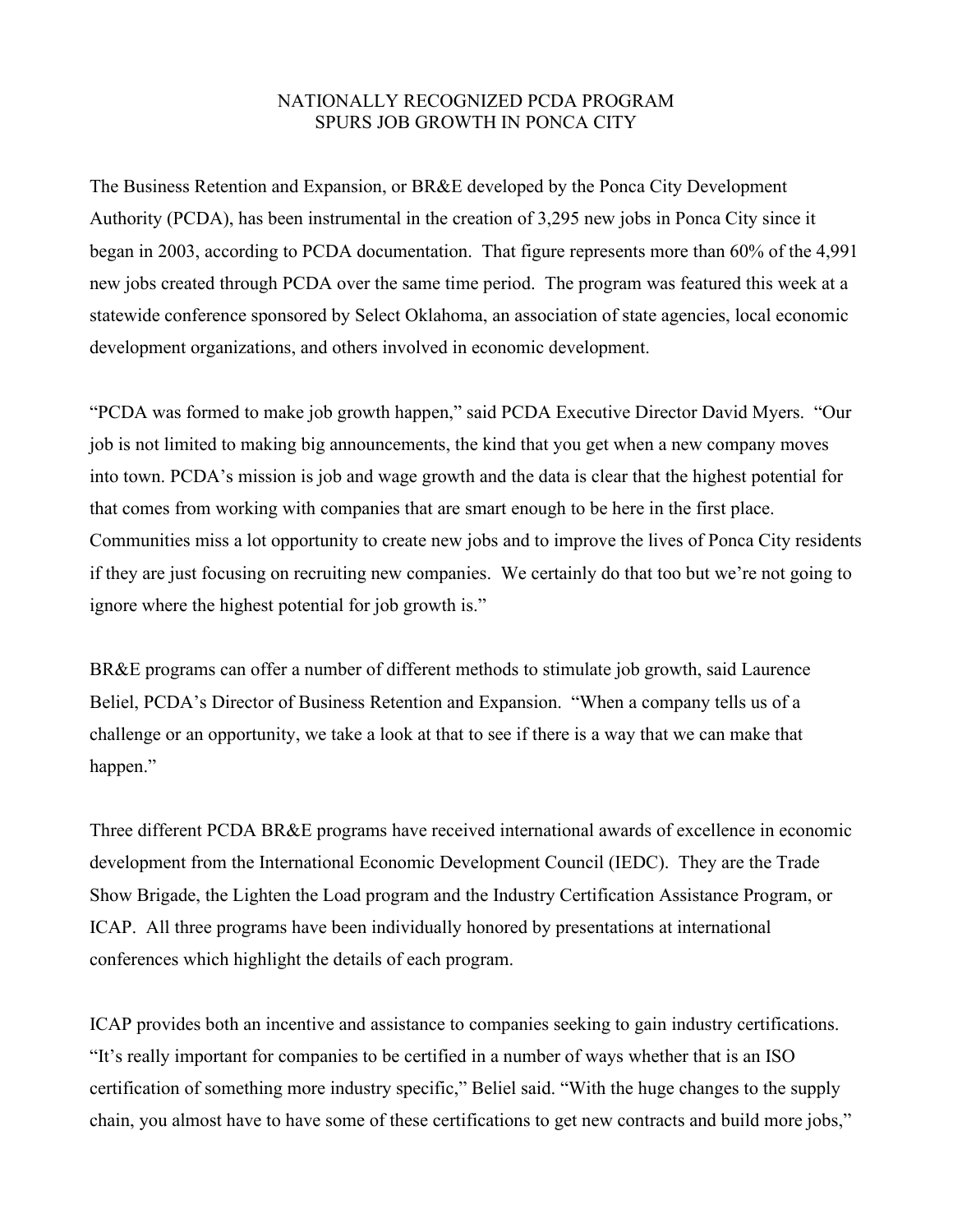## NATIONALLY RECOGNIZED PCDA PROGRAM SPURS JOB GROWTH IN PONCA CITY

The Business Retention and Expansion, or BR&E developed by the Ponca City Development Authority (PCDA), has been instrumental in the creation of 3,295 new jobs in Ponca City since it began in 2003, according to PCDA documentation. That figure represents more than 60% of the 4,991 new jobs created through PCDA over the same time period. The program was featured this week at a statewide conference sponsored by Select Oklahoma, an association of state agencies, local economic development organizations, and others involved in economic development.

"PCDA was formed to make job growth happen," said PCDA Executive Director David Myers. "Our job is not limited to making big announcements, the kind that you get when a new company moves into town. PCDA's mission is job and wage growth and the data is clear that the highest potential for that comes from working with companies that are smart enough to be here in the first place. Communities miss a lot opportunity to create new jobs and to improve the lives of Ponca City residents if they are just focusing on recruiting new companies. We certainly do that too but we're not going to ignore where the highest potential for job growth is."

BR&E programs can offer a number of different methods to stimulate job growth, said Laurence Beliel, PCDA's Director of Business Retention and Expansion. "When a company tells us of a challenge or an opportunity, we take a look at that to see if there is a way that we can make that happen."

Three different PCDA BR&E programs have received international awards of excellence in economic development from the International Economic Development Council (IEDC). They are the Trade Show Brigade, the Lighten the Load program and the Industry Certification Assistance Program, or ICAP. All three programs have been individually honored by presentations at international conferences which highlight the details of each program.

ICAP provides both an incentive and assistance to companies seeking to gain industry certifications. "It's really important for companies to be certified in a number of ways whether that is an ISO certification of something more industry specific," Beliel said. "With the huge changes to the supply chain, you almost have to have some of these certifications to get new contracts and build more jobs,"